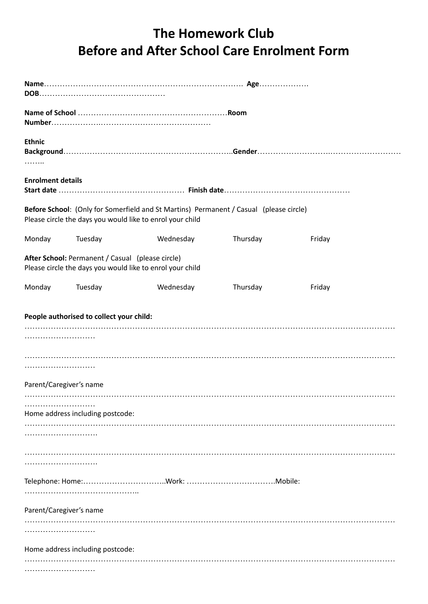## **The Homework Club Before and After School Care Enrolment Form**

| <b>Ethnic</b><br>.                                                                                            |                                          |                                                                                                                                                     |          |        |  |  |  |  |  |  |
|---------------------------------------------------------------------------------------------------------------|------------------------------------------|-----------------------------------------------------------------------------------------------------------------------------------------------------|----------|--------|--|--|--|--|--|--|
| <b>Enrolment details</b>                                                                                      |                                          |                                                                                                                                                     |          |        |  |  |  |  |  |  |
|                                                                                                               |                                          | Before School: (Only for Somerfield and St Martins) Permanent / Casual (please circle)<br>Please circle the days you would like to enrol your child |          |        |  |  |  |  |  |  |
| Monday                                                                                                        | Tuesday                                  | Wednesday                                                                                                                                           | Thursday | Friday |  |  |  |  |  |  |
| After School: Permanent / Casual (please circle)<br>Please circle the days you would like to enrol your child |                                          |                                                                                                                                                     |          |        |  |  |  |  |  |  |
| Monday                                                                                                        | Tuesday                                  | Wednesday                                                                                                                                           | Thursday | Friday |  |  |  |  |  |  |
|                                                                                                               | People authorised to collect your child: |                                                                                                                                                     |          |        |  |  |  |  |  |  |
|                                                                                                               |                                          |                                                                                                                                                     |          |        |  |  |  |  |  |  |
| Parent/Caregiver's name                                                                                       |                                          |                                                                                                                                                     |          |        |  |  |  |  |  |  |
|                                                                                                               | Home address including postcode:         |                                                                                                                                                     |          |        |  |  |  |  |  |  |
|                                                                                                               |                                          |                                                                                                                                                     |          |        |  |  |  |  |  |  |
|                                                                                                               |                                          |                                                                                                                                                     |          |        |  |  |  |  |  |  |
|                                                                                                               |                                          |                                                                                                                                                     |          |        |  |  |  |  |  |  |
| Parent/Caregiver's name                                                                                       |                                          |                                                                                                                                                     |          |        |  |  |  |  |  |  |
| .                                                                                                             |                                          |                                                                                                                                                     |          |        |  |  |  |  |  |  |
|                                                                                                               | Home address including postcode:         |                                                                                                                                                     |          |        |  |  |  |  |  |  |
|                                                                                                               |                                          |                                                                                                                                                     |          |        |  |  |  |  |  |  |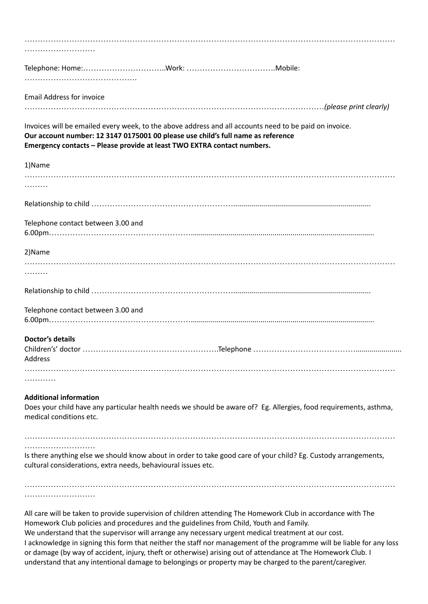| <b>Email Address for invoice</b>                                                                                                                                                                                                                                                                                                                                                               |
|------------------------------------------------------------------------------------------------------------------------------------------------------------------------------------------------------------------------------------------------------------------------------------------------------------------------------------------------------------------------------------------------|
|                                                                                                                                                                                                                                                                                                                                                                                                |
| Invoices will be emailed every week, to the above address and all accounts need to be paid on invoice.                                                                                                                                                                                                                                                                                         |
| Our account number: 12 3147 0175001 00 please use child's full name as reference<br>Emergency contacts - Please provide at least TWO EXTRA contact numbers.                                                                                                                                                                                                                                    |
|                                                                                                                                                                                                                                                                                                                                                                                                |
| 1)Name                                                                                                                                                                                                                                                                                                                                                                                         |
| .                                                                                                                                                                                                                                                                                                                                                                                              |
|                                                                                                                                                                                                                                                                                                                                                                                                |
|                                                                                                                                                                                                                                                                                                                                                                                                |
| Telephone contact between 3.00 and                                                                                                                                                                                                                                                                                                                                                             |
|                                                                                                                                                                                                                                                                                                                                                                                                |
| 2) Name                                                                                                                                                                                                                                                                                                                                                                                        |
| .                                                                                                                                                                                                                                                                                                                                                                                              |
|                                                                                                                                                                                                                                                                                                                                                                                                |
| Telephone contact between 3.00 and                                                                                                                                                                                                                                                                                                                                                             |
| <b>Doctor's details</b>                                                                                                                                                                                                                                                                                                                                                                        |
|                                                                                                                                                                                                                                                                                                                                                                                                |
| Address                                                                                                                                                                                                                                                                                                                                                                                        |
|                                                                                                                                                                                                                                                                                                                                                                                                |
| <b>Additional information</b>                                                                                                                                                                                                                                                                                                                                                                  |
| Does your child have any particular health needs we should be aware of? Eg. Allergies, food requirements, asthma,<br>medical conditions etc.                                                                                                                                                                                                                                                   |
|                                                                                                                                                                                                                                                                                                                                                                                                |
| Is there anything else we should know about in order to take good care of your child? Eg. Custody arrangements,<br>cultural considerations, extra needs, behavioural issues etc.                                                                                                                                                                                                               |
|                                                                                                                                                                                                                                                                                                                                                                                                |
| All care will be taken to provide supervision of children attending The Homework Club in accordance with The<br>Homework Club policies and procedures and the guidelines from Child, Youth and Family.<br>We understand that the supervisor will arrange any necessary urgent medical treatment at our cost.<br>e in sisoins this fount that naithearthe a staff non menocoment of the mucomen |

I acknowledge in signing this form that neither the staff nor management of the programme will be liable for any loss or damage (by way of accident, injury, theft or otherwise) arising out of attendance at The Homework Club. I understand that any intentional damage to belongings or property may be charged to the parent/caregiver.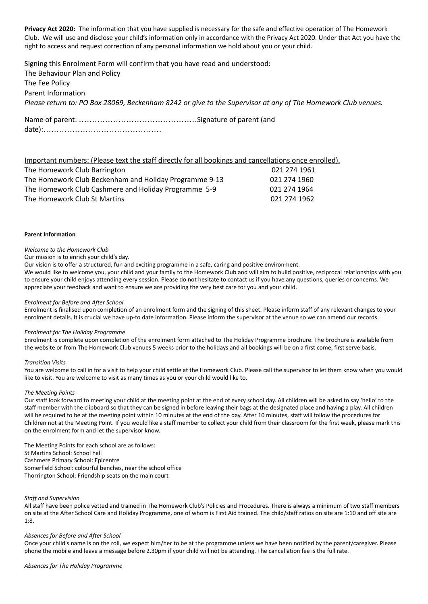**Privacy Act 2020:** The information that you have supplied is necessary for the safe and effective operation of The Homework Club. We will use and disclose your child's information only in accordance with the Privacy Act 2020. Under that Act you have the right to access and request correction of any personal information we hold about you or your child.

Signing this Enrolment Form will confirm that you have read and understood: The Behaviour Plan and Policy The Fee Policy Parent Information Please return to: PO Box 28069, Beckenham 8242 or give to the Supervisor at any of The Homework Club venues. Name of parent: ………………………………………Signature of parent (and

date):………………………………………

| Important numbers: (Please text the staff directly for all bookings and cancellations once enrolled). |              |
|-------------------------------------------------------------------------------------------------------|--------------|
| The Homework Club Barrington                                                                          | 021 274 1961 |
| The Homework Club Beckenham and Holiday Programme 9-13                                                | 021 274 1960 |
| The Homework Club Cashmere and Holiday Programme 5-9                                                  | 021 274 1964 |
| The Homework Club St Martins                                                                          | 021 274 1962 |

#### **Parent Information**

#### *Welcome to the Homework Club*

Our mission is to enrich your child's day.

Our vision is to offer a structured, fun and exciting programme in a safe, caring and positive environment.

We would like to welcome you, your child and your family to the Homework Club and will aim to build positive, reciprocal relationships with you to ensure your child enjoys attending every session. Please do not hesitate to contact us if you have any questions, queries or concerns. We appreciate your feedback and want to ensure we are providing the very best care for you and your child.

#### *Enrolment for Before and After School*

Enrolment is finalised upon completion of an enrolment form and the signing of this sheet. Please inform staff of any relevant changes to your enrolment details. It is crucial we have up-to date information. Please inform the supervisor at the venue so we can amend our records.

#### *Enrolment for The Holiday Programme*

Enrolment is complete upon completion of the enrolment form attached to The Holiday Programme brochure. The brochure is available from the website or from The Homework Club venues 5 weeks prior to the holidays and all bookings will be on a first come, first serve basis.

#### *Transition Visits*

You are welcome to call in for a visit to help your child settle at the Homework Club. Please call the supervisor to let them know when you would like to visit. You are welcome to visit as many times as you or your child would like to.

#### *The Meeting Points*

Our staff look forward to meeting your child at the meeting point at the end of every school day. All children will be asked to say 'hello' to the staff member with the clipboard so that they can be signed in before leaving their bags at the designated place and having a play. All children will be required to be at the meeting point within 10 minutes at the end of the day. After 10 minutes, staff will follow the procedures for Children not at the Meeting Point. If you would like a staff member to collect your child from their classroom for the first week, please mark this on the enrolment form and let the supervisor know.

The Meeting Points for each school are as follows: St Martins School: School hall Cashmere Primary School: Epicentre Somerfield School: colourful benches, near the school office Thorrington School: Friendship seats on the main court

#### *Staff and Supervision*

All staff have been police vetted and trained in The Homework Club's Policies and Procedures. There is always a minimum of two staff members on site at the After School Care and Holiday Programme, one of whom is First Aid trained. The child/staff ratios on site are 1:10 and off site are 1:8.

#### *Absences for Before and After School*

Once your child's name is on the roll, we expect him/her to be at the programme unless we have been notified by the parent/caregiver. Please phone the mobile and leave a message before 2.30pm if your child will not be attending. The cancellation fee is the full rate.

#### *Absences for The Holiday Programme*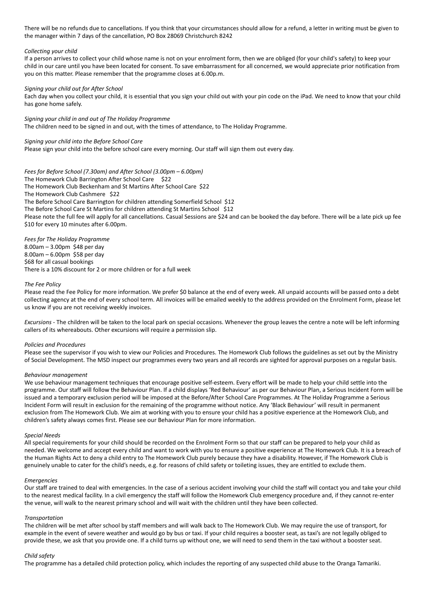There will be no refunds due to cancellations. If you think that your circumstances should allow for a refund, a letter in writing must be given to the manager within 7 days of the cancellation, PO Box 28069 Christchurch 8242

#### *Collecting your child*

If a person arrives to collect your child whose name is not on your enrolment form, then we are obliged (for your child's safety) to keep your child in our care until you have been located for consent. To save embarrassment for all concerned, we would appreciate prior notification from you on this matter. Please remember that the programme closes at 6.00p.m.

#### *Signing your child out for After School*

Each day when you collect your child, it is essential that you sign your child out with your pin code on the iPad. We need to know that your child has gone home safely.

*Signing your child in and out of The Holiday Programme* The children need to be signed in and out, with the times of attendance, to The Holiday Programme.

#### *Signing your child into the Before School Care*

Please sign your child into the before school care every morning. Our staff will sign them out every day.

*Fees for Before School (7.30am) and After School (3.00pm – 6.00pm)* The Homework Club Barrington After School Care \$22 The Homework Club Beckenham and St Martins After School Care \$22 The Homework Club Cashmere \$22 The Before School Care Barrington for children attending Somerfield School \$12 The Before School Care St Martins for children attending St Martins School \$12 Please note the full fee will apply for all cancellations. Casual Sessions are \$24 and can be booked the day before. There will be a late pick up fee \$10 for every 10 minutes after 6.00pm.

*Fees for The Holiday Programme* 8.00am – 3.00pm \$48 per day 8.00am – 6.00pm \$58 per day \$68 for all casual bookings There is a 10% discount for 2 or more children or for a full week

#### *The Fee Policy*

Please read the Fee Policy for more information. We prefer \$0 balance at the end of every week. All unpaid accounts will be passed onto a debt collecting agency at the end of every school term. All invoices will be emailed weekly to the address provided on the Enrolment Form, please let us know if you are not receiving weekly invoices.

*Excursions* - The children will be taken to the local park on special occasions. Whenever the group leaves the centre a note will be left informing callers of its whereabouts. Other excursions will require a permission slip.

#### *Policies and Procedures*

Please see the supervisor if you wish to view our Policies and Procedures. The Homework Club follows the guidelines as set out by the Ministry of Social Development. The MSD inspect our programmes every two years and all records are sighted for approval purposes on a regular basis.

#### *Behaviour management*

We use behaviour management techniques that encourage positive self-esteem. Every effort will be made to help your child settle into the programme. Our staff will follow the Behaviour Plan. If a child displays 'Red Behaviour' as per our Behaviour Plan, a Serious Incident Form will be issued and a temporary exclusion period will be imposed at the Before/After School Care Programmes. At The Holiday Programme a Serious Incident Form will result in exclusion for the remaining of the programme without notice. Any 'Black Behaviour' will result in permanent exclusion from The Homework Club. We aim at working with you to ensure your child has a positive experience at the Homework Club, and children's safety always comes first. Please see our Behaviour Plan for more information.

#### *Special Needs*

All special requirements for your child should be recorded on the Enrolment Form so that our staff can be prepared to help your child as needed. We welcome and accept every child and want to work with you to ensure a positive experience at The Homework Club. It is a breach of the Human Rights Act to deny a child entry to The Homework Club purely because they have a disability. However, if The Homework Club is genuinely unable to cater for the child's needs, e.g. for reasons of child safety or toileting issues, they are entitled to exclude them.

#### *Emergencies*

Our staff are trained to deal with emergencies. In the case of a serious accident involving your child the staff will contact you and take your child to the nearest medical facility. In a civil emergency the staff will follow the Homework Club emergency procedure and, if they cannot re-enter the venue, will walk to the nearest primary school and will wait with the children until they have been collected.

#### *Transportation*

The children will be met after school by staff members and will walk back to The Homework Club. We may require the use of transport, for example in the event of severe weather and would go by bus or taxi. If your child requires a booster seat, as taxi's are not legally obliged to provide these, we ask that you provide one. If a child turns up without one, we will need to send them in the taxi without a booster seat.

#### *Child safety*

The programme has a detailed child protection policy, which includes the reporting of any suspected child abuse to the Oranga Tamariki.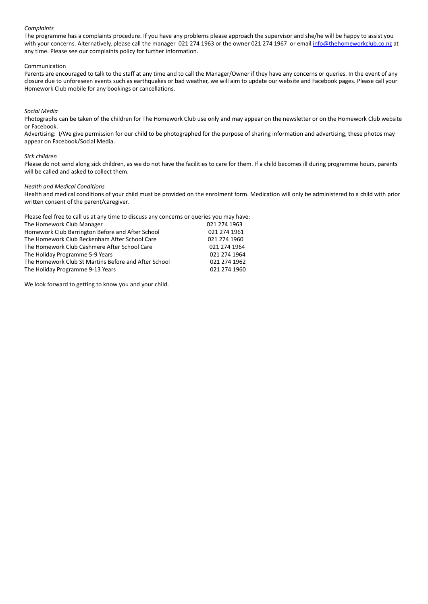#### *Complaints*

The programme has a complaints procedure. If you have any problems please approach the supervisor and she/he will be happy to assist you with your concerns. Alternatively, please call the manager 021 274 1963 or the owner 021 274 1967 or email [info@thehomeworkclub.co.nz](mailto:info@thehomeworkclub.co.nz) at any time. Please see our complaints policy for further information.

#### Communication

Parents are encouraged to talk to the staff at any time and to call the Manager/Owner if they have any concerns or queries. In the event of any closure due to unforeseen events such as earthquakes or bad weather, we will aim to update our website and Facebook pages. Please call your Homework Club mobile for any bookings or cancellations.

#### *Social Media*

Photographs can be taken of the children for The Homework Club use only and may appear on the newsletter or on the Homework Club website or Facebook.

Advertising: I/We give permission for our child to be photographed for the purpose of sharing information and advertising, these photos may appear on Facebook/Social Media.

#### *Sick children*

Please do not send along sick children, as we do not have the facilities to care for them. If a child becomes ill during programme hours, parents will be called and asked to collect them.

#### *Health and Medical Conditions*

Health and medical conditions of your child must be provided on the enrolment form. Medication will only be administered to a child with prior written consent of the parent/caregiver.

Please feel free to call us at any time to discuss any concerns or queries you may have:

| The Homework Club Manager                            | 021 274 1963 |
|------------------------------------------------------|--------------|
| Homework Club Barrington Before and After School     | 021 274 1961 |
| The Homework Club Beckenham After School Care        | 021 274 1960 |
| The Homework Club Cashmere After School Care         | 021 274 1964 |
| The Holiday Programme 5-9 Years                      | 021 274 1964 |
| The Homework Club St Martins Before and After School | 021 274 1962 |
| The Holiday Programme 9-13 Years                     | 021 274 1960 |

We look forward to getting to know you and your child.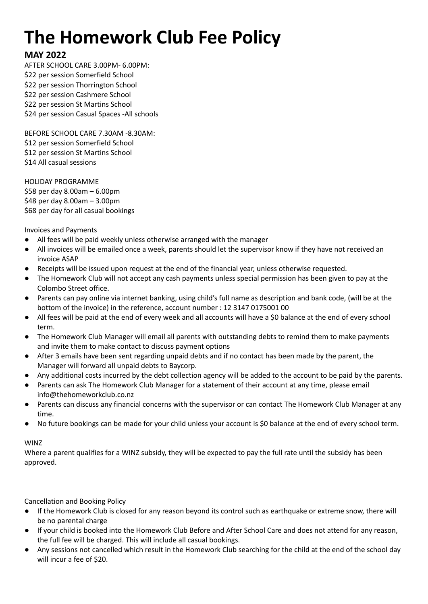# **The Homework Club Fee Policy**

## **MAY 2022**

AFTER SCHOOL CARE 3.00PM- 6.00PM: \$22 per session Somerfield School \$22 per session Thorrington School \$22 per session Cashmere School \$22 per session St Martins School \$24 per session Casual Spaces -All schools

BEFORE SCHOOL CARE 7.30AM -8.30AM: \$12 per session Somerfield School \$12 per session St Martins School \$14 All casual sessions

HOLIDAY PROGRAMME \$58 per day 8.00am – 6.00pm \$48 per day 8.00am – 3.00pm \$68 per day for all casual bookings

Invoices and Payments

- All fees will be paid weekly unless otherwise arranged with the manager
- All invoices will be emailed once a week, parents should let the supervisor know if they have not received an invoice ASAP
- Receipts will be issued upon request at the end of the financial year, unless otherwise requested.
- The Homework Club will not accept any cash payments unless special permission has been given to pay at the Colombo Street office.
- Parents can pay online via internet banking, using child's full name as description and bank code, (will be at the bottom of the invoice) in the reference, account number : 12 3147 0175001 00
- All fees will be paid at the end of every week and all accounts will have a \$0 balance at the end of every school term.
- The Homework Club Manager will email all parents with outstanding debts to remind them to make payments and invite them to make contact to discuss payment options
- After 3 emails have been sent regarding unpaid debts and if no contact has been made by the parent, the Manager will forward all unpaid debts to Baycorp.
- Any additional costs incurred by the debt collection agency will be added to the account to be paid by the parents.
- Parents can ask The Homework Club Manager for a statement of their account at any time, please email info@thehomeworkclub.co.nz
- Parents can discuss any financial concerns with the supervisor or can contact The Homework Club Manager at any time.
- No future bookings can be made for your child unless your account is \$0 balance at the end of every school term.

## WINZ

Where a parent qualifies for a WINZ subsidy, they will be expected to pay the full rate until the subsidy has been approved.

Cancellation and Booking Policy

- If the Homework Club is closed for any reason beyond its control such as earthquake or extreme snow, there will be no parental charge
- If your child is booked into the Homework Club Before and After School Care and does not attend for any reason, the full fee will be charged. This will include all casual bookings.
- Any sessions not cancelled which result in the Homework Club searching for the child at the end of the school day will incur a fee of \$20.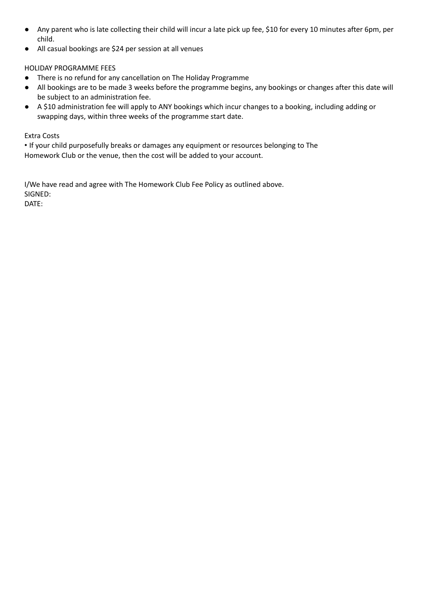- Any parent who is late collecting their child will incur a late pick up fee, \$10 for every 10 minutes after 6pm, per child.
- All casual bookings are \$24 per session at all venues

### HOLIDAY PROGRAMME FEES

- There is no refund for any cancellation on The Holiday Programme
- All bookings are to be made 3 weeks before the programme begins, any bookings or changes after this date will be subject to an administration fee.
- A \$10 administration fee will apply to ANY bookings which incur changes to a booking, including adding or swapping days, within three weeks of the programme start date.

### Extra Costs

• If your child purposefully breaks or damages any equipment or resources belonging to The Homework Club or the venue, then the cost will be added to your account.

I/We have read and agree with The Homework Club Fee Policy as outlined above. SIGNED:

DATE: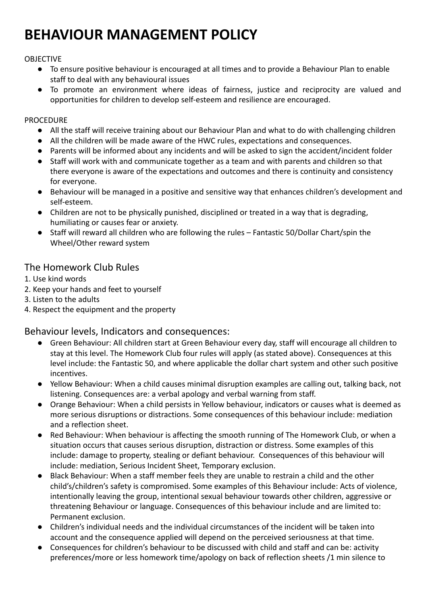## **BEHAVIOUR MANAGEMENT POLICY**

## OBJECTIVE

- To ensure positive behaviour is encouraged at all times and to provide a Behaviour Plan to enable staff to deal with any behavioural issues
- **●** To promote an environment where ideas of fairness, justice and reciprocity are valued and opportunities for children to develop self-esteem and resilience are encouraged.

## **PROCEDURE**

- All the staff will receive training about our Behaviour Plan and what to do with challenging children
- All the children will be made aware of the HWC rules, expectations and consequences.
- Parents will be informed about any incidents and will be asked to sign the accident/incident folder
- Staff will work with and communicate together as a team and with parents and children so that there everyone is aware of the expectations and outcomes and there is continuity and consistency for everyone.
- Behaviour will be managed in a positive and sensitive way that enhances children's development and self-esteem.
- Children are not to be physically punished, disciplined or treated in a way that is degrading, humiliating or causes fear or anxiety.
- Staff will reward all children who are following the rules Fantastic 50/Dollar Chart/spin the Wheel/Other reward system

## The Homework Club Rules

- 1. Use kind words
- 2. Keep your hands and feet to yourself
- 3. Listen to the adults
- 4. Respect the equipment and the property

## Behaviour levels, Indicators and consequences:

- Green Behaviour: All children start at Green Behaviour every day, staff will encourage all children to stay at this level. The Homework Club four rules will apply (as stated above). Consequences at this level include: the Fantastic 50, and where applicable the dollar chart system and other such positive incentives.
- Yellow Behaviour: When a child causes minimal disruption examples are calling out, talking back, not listening. Consequences are: a verbal apology and verbal warning from staff.
- Orange Behaviour: When a child persists in Yellow behaviour, indicators or causes what is deemed as more serious disruptions or distractions. Some consequences of this behaviour include: mediation and a reflection sheet.
- Red Behaviour: When behaviour is affecting the smooth running of The Homework Club, or when a situation occurs that causes serious disruption, distraction or distress. Some examples of this include: damage to property, stealing or defiant behaviour. Consequences of this behaviour will include: mediation, Serious Incident Sheet, Temporary exclusion.
- Black Behaviour: When a staff member feels they are unable to restrain a child and the other child's/children's safety is compromised. Some examples of this Behaviour include: Acts of violence, intentionally leaving the group, intentional sexual behaviour towards other children, aggressive or threatening Behaviour or language. Consequences of this behaviour include and are limited to: Permanent exclusion.
- Children's individual needs and the individual circumstances of the incident will be taken into account and the consequence applied will depend on the perceived seriousness at that time.
- Consequences for children's behaviour to be discussed with child and staff and can be: activity preferences/more or less homework time/apology on back of reflection sheets /1 min silence to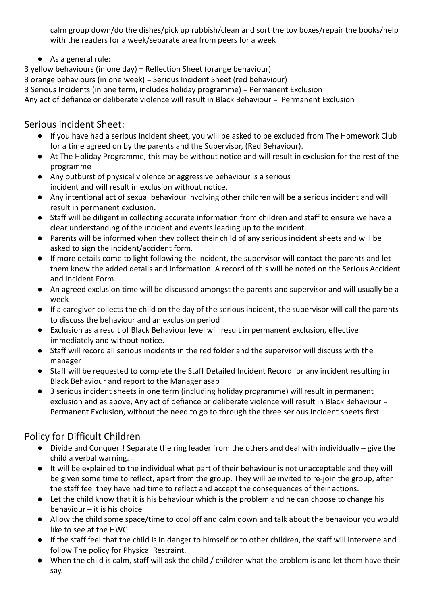calm group down/do the dishes/pick up rubbish/clean and sort the toy boxes/repair the books/help with the readers for a week/separate area from peers for a week

● As a general rule:

3 yellow behaviours (in one day) = Reflection Sheet (orange behaviour)

3 orange behaviours (in one week) = Serious Incident Sheet (red behaviour)

3 Serious Incidents (in one term, includes holiday programme) = Permanent Exclusion

Any act of defiance or deliberate violence will result in Black Behaviour = Permanent Exclusion

## Serious incident Sheet:

- If you have had a serious incident sheet, you will be asked to be excluded from The Homework Club for a time agreed on by the parents and the Supervisor, (Red Behaviour).
- At The Holiday Programme, this may be without notice and will result in exclusion for the rest of the programme
- Any outburst of physical violence or aggressive behaviour is a serious incident and will result in exclusion without notice.
- Any intentional act of sexual behaviour involving other children will be a serious incident and will result in permanent exclusion.
- Staff will be diligent in collecting accurate information from children and staff to ensure we have a clear understanding of the incident and events leading up to the incident.
- Parents will be informed when they collect their child of any serious incident sheets and will be asked to sign the incident/accident form.
- If more details come to light following the incident, the supervisor will contact the parents and let them know the added details and information. A record of this will be noted on the Serious Accident and Incident Form.
- An agreed exclusion time will be discussed amongst the parents and supervisor and will usually be a week
- If a caregiver collects the child on the day of the serious incident, the supervisor will call the parents to discuss the behaviour and an exclusion period
- Exclusion as a result of Black Behaviour level will result in permanent exclusion, effective immediately and without notice.
- Staff will record all serious incidents in the red folder and the supervisor will discuss with the manager
- Staff will be requested to complete the Staff Detailed Incident Record for any incident resulting in Black Behaviour and report to the Manager asap
- 3 serious incident sheets in one term (including holiday programme) will result in permanent exclusion and as above, Any act of defiance or deliberate violence will result in Black Behaviour = Permanent Exclusion, without the need to go to through the three serious incident sheets first.

## Policy for Difficult Children

- Divide and Conquer!! Separate the ring leader from the others and deal with individually give the child a verbal warning.
- It will be explained to the individual what part of their behaviour is not unacceptable and they will be given some time to reflect, apart from the group. They will be invited to re-join the group, after the staff feel they have had time to reflect and accept the consequences of their actions.
- Let the child know that it is his behaviour which is the problem and he can choose to change his behaviour – it is his choice
- Allow the child some space/time to cool off and calm down and talk about the behaviour you would like to see at the HWC
- If the staff feel that the child is in danger to himself or to other children, the staff will intervene and follow The policy for Physical Restraint.
- When the child is calm, staff will ask the child / children what the problem is and let them have their say.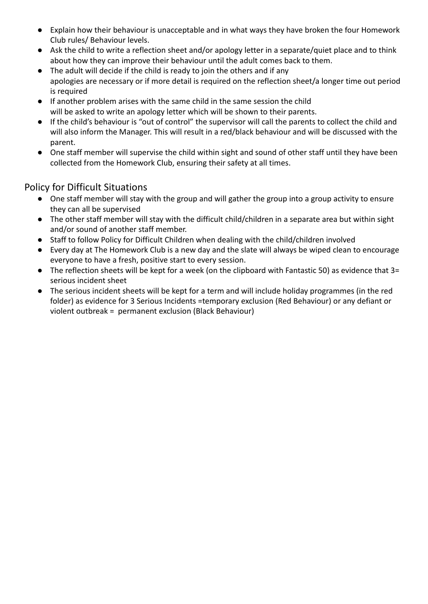- Explain how their behaviour is unacceptable and in what ways they have broken the four Homework Club rules/ Behaviour levels.
- Ask the child to write a reflection sheet and/or apology letter in a separate/quiet place and to think about how they can improve their behaviour until the adult comes back to them.
- The adult will decide if the child is ready to join the others and if any apologies are necessary or if more detail is required on the reflection sheet/a longer time out period is required
- If another problem arises with the same child in the same session the child will be asked to write an apology letter which will be shown to their parents.
- If the child's behaviour is "out of control" the supervisor will call the parents to collect the child and will also inform the Manager. This will result in a red/black behaviour and will be discussed with the parent.
- One staff member will supervise the child within sight and sound of other staff until they have been collected from the Homework Club, ensuring their safety at all times.

## Policy for Difficult Situations

- One staff member will stay with the group and will gather the group into a group activity to ensure they can all be supervised
- The other staff member will stay with the difficult child/children in a separate area but within sight and/or sound of another staff member.
- Staff to follow Policy for Difficult Children when dealing with the child/children involved
- Every day at The Homework Club is a new day and the slate will always be wiped clean to encourage everyone to have a fresh, positive start to every session.
- The reflection sheets will be kept for a week (on the clipboard with Fantastic 50) as evidence that 3= serious incident sheet
- The serious incident sheets will be kept for a term and will include holiday programmes (in the red folder) as evidence for 3 Serious Incidents =temporary exclusion (Red Behaviour) or any defiant or violent outbreak = permanent exclusion (Black Behaviour)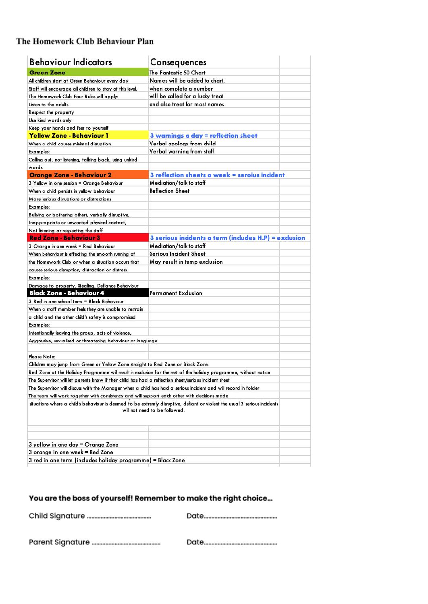## The Homework Club Behaviour Plan

| <b>Behaviour Indicators</b>                                                                                                                                 | Consequences                                                                                                     |  |  |  |  |
|-------------------------------------------------------------------------------------------------------------------------------------------------------------|------------------------------------------------------------------------------------------------------------------|--|--|--|--|
| <b>Green Zone</b>                                                                                                                                           | The Fantastic 50 Chart                                                                                           |  |  |  |  |
| All children start at Green Behaviour every day                                                                                                             | Names will be added to chart,                                                                                    |  |  |  |  |
| Staff will encourage all children to stay at this level.                                                                                                    | when complete a number                                                                                           |  |  |  |  |
| The Homework Club Four Rules will apply:                                                                                                                    | will be called for a lucky treat                                                                                 |  |  |  |  |
| Listen to the adults                                                                                                                                        | and also treat for most names                                                                                    |  |  |  |  |
| Respect the property                                                                                                                                        |                                                                                                                  |  |  |  |  |
| Use kind words only                                                                                                                                         |                                                                                                                  |  |  |  |  |
| Keep your hands and feet to yourself                                                                                                                        |                                                                                                                  |  |  |  |  |
| <u> Yellow Zone - Behaviour 1</u>                                                                                                                           | 3 warnings a day = reflection sheet                                                                              |  |  |  |  |
| When a child causes minimal disruption                                                                                                                      | Verbal apology from child                                                                                        |  |  |  |  |
| Examples:                                                                                                                                                   | Verbal warning from staff                                                                                        |  |  |  |  |
| Calling out, not listening, talking back, using unkind                                                                                                      |                                                                                                                  |  |  |  |  |
| words                                                                                                                                                       |                                                                                                                  |  |  |  |  |
| <b>Orange Zone - Behaviour 2</b>                                                                                                                            | 3 reflection sheets a week = seroius incident                                                                    |  |  |  |  |
| 3 Yellow in one session = Orange Behaviour                                                                                                                  | Mediation/talk to staff                                                                                          |  |  |  |  |
| When a child persists in yellow behaviour                                                                                                                   | Reflection Sheet                                                                                                 |  |  |  |  |
| More serious disruptions or distractions                                                                                                                    |                                                                                                                  |  |  |  |  |
| Examples:                                                                                                                                                   |                                                                                                                  |  |  |  |  |
| Bullying or bothering others, verbally disruptive,                                                                                                          |                                                                                                                  |  |  |  |  |
| Inappropriate or unwanted physical contact,                                                                                                                 |                                                                                                                  |  |  |  |  |
| Not listening or respecting the staff                                                                                                                       |                                                                                                                  |  |  |  |  |
| <b>Red Zone - Behaviour 3</b>                                                                                                                               | 3 serious incidents a term (includes H.P) = exclusion                                                            |  |  |  |  |
| 3 Orange in one week = Red Behaviour                                                                                                                        | Mediation/talk to staff                                                                                          |  |  |  |  |
| When behaviour is effecting the smooth running of                                                                                                           | Serious Incident Sheet                                                                                           |  |  |  |  |
| the Homework Club or when a situation occurs that                                                                                                           | May result in temp exclusion                                                                                     |  |  |  |  |
| causes serious disruption, distraction or distress                                                                                                          |                                                                                                                  |  |  |  |  |
| Examples:                                                                                                                                                   |                                                                                                                  |  |  |  |  |
| Damage to property, Stealing, Defiance Behaviour                                                                                                            |                                                                                                                  |  |  |  |  |
| <b>Black Zone - Behaviour 4</b>                                                                                                                             | Permanent Exclusion                                                                                              |  |  |  |  |
| 3 Red in one school term = Black Behaviour                                                                                                                  |                                                                                                                  |  |  |  |  |
| When a staff member feels they are unable to restrain                                                                                                       |                                                                                                                  |  |  |  |  |
| a child and the other child's safety is compromised                                                                                                         |                                                                                                                  |  |  |  |  |
| Examples:                                                                                                                                                   |                                                                                                                  |  |  |  |  |
| Intentionally leaving the group, acts of violence,                                                                                                          |                                                                                                                  |  |  |  |  |
| Aggressive, sexualised or threatening behaviour or language                                                                                                 |                                                                                                                  |  |  |  |  |
|                                                                                                                                                             |                                                                                                                  |  |  |  |  |
| Please Note:                                                                                                                                                |                                                                                                                  |  |  |  |  |
| Children may jump from Green or Yellow Zone straight to Red Zone or Black Zone                                                                              |                                                                                                                  |  |  |  |  |
|                                                                                                                                                             | Red Zone at the Holiday Programme will result in exclusion for the rest of the holiday programme, without notice |  |  |  |  |
| The Supervisor will let parents know if their child has had a reflection sheet/serious incident sheet                                                       |                                                                                                                  |  |  |  |  |
| The Supervisor will discuss with the Manager when a child has had a serious incident and will record in folder                                              |                                                                                                                  |  |  |  |  |
| The team will work together with consistency and will support each other with decisions made                                                                |                                                                                                                  |  |  |  |  |
| situations where a child's behaviour is deemed to be extremly disruptive, defiant or violent the usual 3 serious incidents<br>will not need to be followed. |                                                                                                                  |  |  |  |  |
|                                                                                                                                                             |                                                                                                                  |  |  |  |  |
| 3 yellow in one day = Orange Zone                                                                                                                           |                                                                                                                  |  |  |  |  |
| 3 orange in one week = Red Zone                                                                                                                             |                                                                                                                  |  |  |  |  |
| 3 red in one term (includes holiday programme) = Black Zone                                                                                                 |                                                                                                                  |  |  |  |  |

## You are the boss of yourself! Remember to make the right choice...